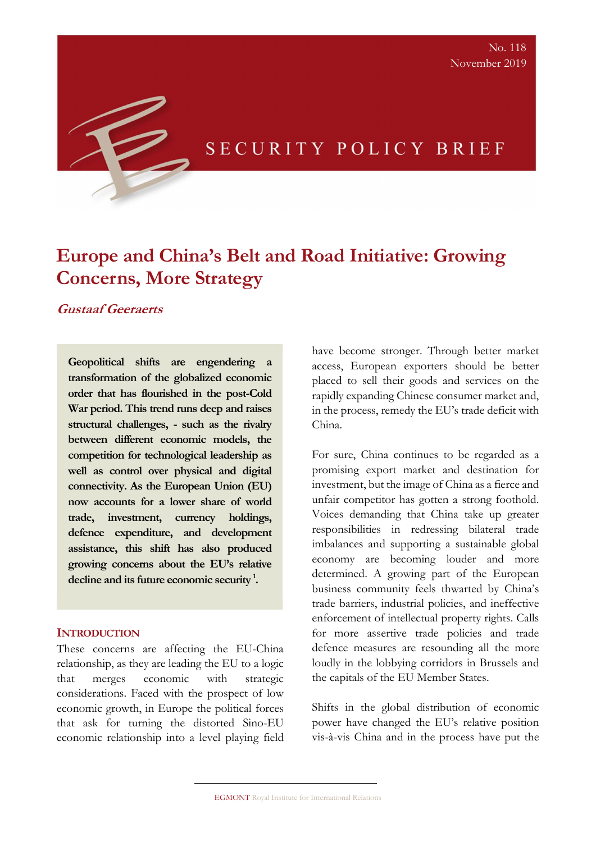## SECURITY POLICY BRIEF

# Europe and China's Belt and Road Initiative: Growing Concerns, More Strategy

Gustaaf Geeraerts

Geopolitical shifts are engendering a transformation of the globalized economic order that has flourished in the post-Cold War period. This trend runs deep and raises structural challenges, - such as the rivalry between different economic models, the competition for technological leadership as well as control over physical and digital connectivity. As the European Union (EU) now accounts for a lower share of world trade, investment, currency holdings, defence expenditure, and development assistance, this shift has also produced growing concerns about the EU's relative decline and its future economic security<sup>1</sup>.

#### **INTRODUCTION**

These concerns are affecting the EU-China relationship, as they are leading the EU to a logic that merges economic with strategic considerations. Faced with the prospect of low economic growth, in Europe the political forces that ask for turning the distorted Sino-EU economic relationship into a level playing field have become stronger. Through better market access, European exporters should be better placed to sell their goods and services on the rapidly expanding Chinese consumer market and, in the process, remedy the EU's trade deficit with China.

For sure, China continues to be regarded as a promising export market and destination for investment, but the image of China as a fierce and unfair competitor has gotten a strong foothold. Voices demanding that China take up greater responsibilities in redressing bilateral trade imbalances and supporting a sustainable global economy are becoming louder and more determined. A growing part of the European business community feels thwarted by China's trade barriers, industrial policies, and ineffective enforcement of intellectual property rights. Calls for more assertive trade policies and trade defence measures are resounding all the more loudly in the lobbying corridors in Brussels and the capitals of the EU Member States.

Shifts in the global distribution of economic power have changed the EU's relative position vis-à-vis China and in the process have put the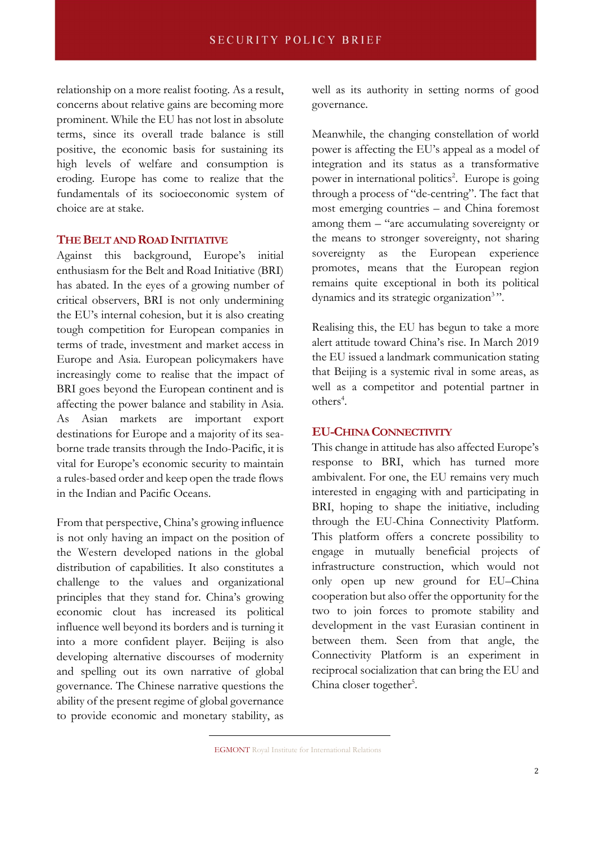relationship on a more realist footing. As a result, concerns about relative gains are becoming more prominent. While the EU has not lost in absolute terms, since its overall trade balance is still positive, the economic basis for sustaining its high levels of welfare and consumption is eroding. Europe has come to realize that the fundamentals of its socioeconomic system of choice are at stake.

#### THE BELT AND ROAD INITIATIVE

Against this background, Europe's initial enthusiasm for the Belt and Road Initiative (BRI) has abated. In the eyes of a growing number of critical observers, BRI is not only undermining the EU's internal cohesion, but it is also creating tough competition for European companies in terms of trade, investment and market access in Europe and Asia. European policymakers have increasingly come to realise that the impact of BRI goes beyond the European continent and is affecting the power balance and stability in Asia. As Asian markets are important export destinations for Europe and a majority of its seaborne trade transits through the Indo-Pacific, it is vital for Europe's economic security to maintain a rules-based order and keep open the trade flows in the Indian and Pacific Oceans.

From that perspective, China's growing influence is not only having an impact on the position of the Western developed nations in the global distribution of capabilities. It also constitutes a challenge to the values and organizational principles that they stand for. China's growing economic clout has increased its political influence well beyond its borders and is turning it into a more confident player. Beijing is also developing alternative discourses of modernity and spelling out its own narrative of global governance. The Chinese narrative questions the ability of the present regime of global governance to provide economic and monetary stability, as

well as its authority in setting norms of good governance.

Meanwhile, the changing constellation of world power is affecting the EU's appeal as a model of integration and its status as a transformative power in international politics<sup>2</sup>. Europe is going through a process of "de-centring". The fact that most emerging countries – and China foremost among them – "are accumulating sovereignty or the means to stronger sovereignty, not sharing sovereignty as the European experience promotes, means that the European region remains quite exceptional in both its political dynamics and its strategic organization<sup>3</sup>".

Realising this, the EU has begun to take a more alert attitude toward China's rise. In March 2019 the EU issued a landmark communication stating that Beijing is a systemic rival in some areas, as well as a competitor and potential partner in others<sup>4</sup>.

#### EU-CHINA CONNECTIVITY

This change in attitude has also affected Europe's response to BRI, which has turned more ambivalent. For one, the EU remains very much interested in engaging with and participating in BRI, hoping to shape the initiative, including through the EU-China Connectivity Platform. This platform offers a concrete possibility to engage in mutually beneficial projects of infrastructure construction, which would not only open up new ground for EU–China cooperation but also offer the opportunity for the two to join forces to promote stability and development in the vast Eurasian continent in between them. Seen from that angle, the Connectivity Platform is an experiment in reciprocal socialization that can bring the EU and China closer together<sup>5</sup>.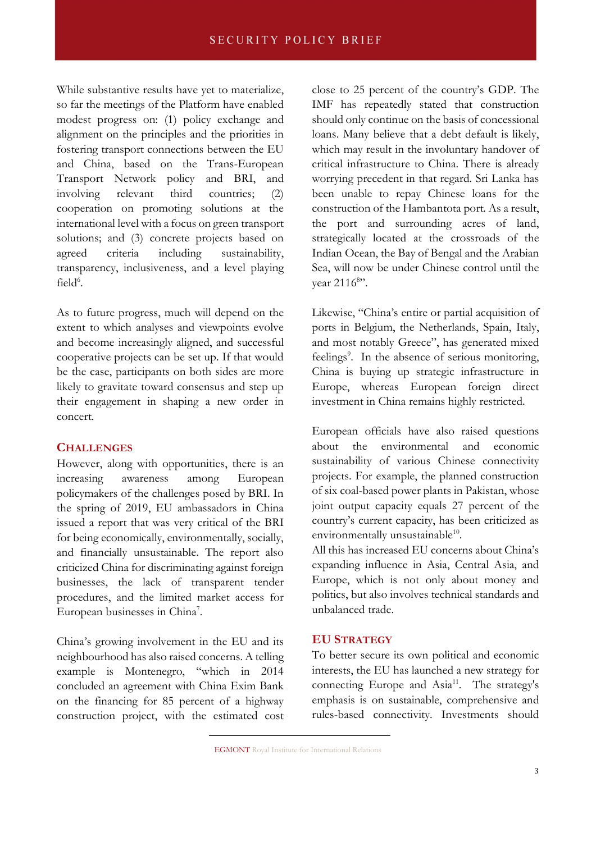While substantive results have yet to materialize, so far the meetings of the Platform have enabled modest progress on: (1) policy exchange and alignment on the principles and the priorities in fostering transport connections between the EU and China, based on the Trans-European Transport Network policy and BRI, and involving relevant third countries; (2) cooperation on promoting solutions at the international level with a focus on green transport solutions; and (3) concrete projects based on agreed criteria including sustainability, transparency, inclusiveness, and a level playing  $field<sup>6</sup>$ .

As to future progress, much will depend on the extent to which analyses and viewpoints evolve and become increasingly aligned, and successful cooperative projects can be set up. If that would be the case, participants on both sides are more likely to gravitate toward consensus and step up their engagement in shaping a new order in concert.

#### **CHALLENGES**

However, along with opportunities, there is an increasing awareness among European policymakers of the challenges posed by BRI. In the spring of 2019, EU ambassadors in China issued a report that was very critical of the BRI for being economically, environmentally, socially, and financially unsustainable. The report also criticized China for discriminating against foreign businesses, the lack of transparent tender procedures, and the limited market access for European businesses in China<sup>7</sup>.

China's growing involvement in the EU and its neighbourhood has also raised concerns. A telling example is Montenegro, "which in 2014 concluded an agreement with China Exim Bank on the financing for 85 percent of a highway construction project, with the estimated cost close to 25 percent of the country's GDP. The IMF has repeatedly stated that construction should only continue on the basis of concessional loans. Many believe that a debt default is likely, which may result in the involuntary handover of critical infrastructure to China. There is already worrying precedent in that regard. Sri Lanka has been unable to repay Chinese loans for the construction of the Hambantota port. As a result, the port and surrounding acres of land, strategically located at the crossroads of the Indian Ocean, the Bay of Bengal and the Arabian Sea, will now be under Chinese control until the vear 2116<sup>8</sup>".

Likewise, "China's entire or partial acquisition of ports in Belgium, the Netherlands, Spain, Italy, and most notably Greece", has generated mixed feelings<sup>9</sup>. In the absence of serious monitoring, China is buying up strategic infrastructure in Europe, whereas European foreign direct investment in China remains highly restricted.

European officials have also raised questions about the environmental and economic sustainability of various Chinese connectivity projects. For example, the planned construction of six coal-based power plants in Pakistan, whose joint output capacity equals 27 percent of the country's current capacity, has been criticized as environmentally unsustainable<sup>10</sup>.

All this has increased EU concerns about China's expanding influence in Asia, Central Asia, and Europe, which is not only about money and politics, but also involves technical standards and unbalanced trade.

#### EU STRATEGY

To better secure its own political and economic interests, the EU has launched a new strategy for connecting Europe and  $Asia^{11}$ . The strategy's emphasis is on sustainable, comprehensive and rules-based connectivity. Investments should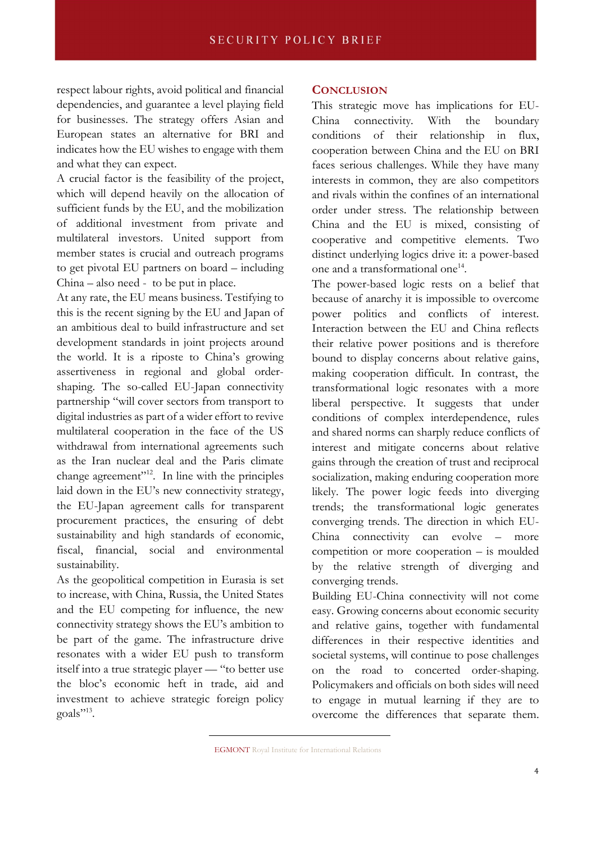respect labour rights, avoid political and financial dependencies, and guarantee a level playing field for businesses. The strategy offers Asian and European states an alternative for BRI and indicates how the EU wishes to engage with them and what they can expect.

A crucial factor is the feasibility of the project, which will depend heavily on the allocation of sufficient funds by the EU, and the mobilization of additional investment from private and multilateral investors. United support from member states is crucial and outreach programs to get pivotal EU partners on board – including China – also need - to be put in place.

At any rate, the EU means business. Testifying to this is the recent signing by the EU and Japan of an ambitious deal to build infrastructure and set development standards in joint projects around the world. It is a riposte to China's growing assertiveness in regional and global ordershaping. The so-called EU-Japan connectivity partnership "will cover sectors from transport to digital industries as part of a wider effort to revive multilateral cooperation in the face of the US withdrawal from international agreements such as the Iran nuclear deal and the Paris climate change agreement"<sup>12</sup>. In line with the principles laid down in the EU's new connectivity strategy, the EU-Japan agreement calls for transparent procurement practices, the ensuring of debt sustainability and high standards of economic, fiscal, financial, social and environmental sustainability.

As the geopolitical competition in Eurasia is set to increase, with China, Russia, the United States and the EU competing for influence, the new connectivity strategy shows the EU's ambition to be part of the game. The infrastructure drive resonates with a wider EU push to transform itself into a true strategic player — "to better use the bloc's economic heft in trade, aid and investment to achieve strategic foreign policy goals"<sup>13</sup>.

### **CONCLUSION**

This strategic move has implications for EU-China connectivity. With the boundary conditions of their relationship in flux, cooperation between China and the EU on BRI faces serious challenges. While they have many interests in common, they are also competitors and rivals within the confines of an international order under stress. The relationship between China and the EU is mixed, consisting of cooperative and competitive elements. Two distinct underlying logics drive it: a power-based one and a transformational one<sup>14</sup>.

The power-based logic rests on a belief that because of anarchy it is impossible to overcome power politics and conflicts of interest. Interaction between the EU and China reflects their relative power positions and is therefore bound to display concerns about relative gains, making cooperation difficult. In contrast, the transformational logic resonates with a more liberal perspective. It suggests that under conditions of complex interdependence, rules and shared norms can sharply reduce conflicts of interest and mitigate concerns about relative gains through the creation of trust and reciprocal socialization, making enduring cooperation more likely. The power logic feeds into diverging trends; the transformational logic generates converging trends. The direction in which EU-China connectivity can evolve – more competition or more cooperation – is moulded by the relative strength of diverging and converging trends.

Building EU-China connectivity will not come easy. Growing concerns about economic security and relative gains, together with fundamental differences in their respective identities and societal systems, will continue to pose challenges on the road to concerted order-shaping. Policymakers and officials on both sides will need to engage in mutual learning if they are to overcome the differences that separate them.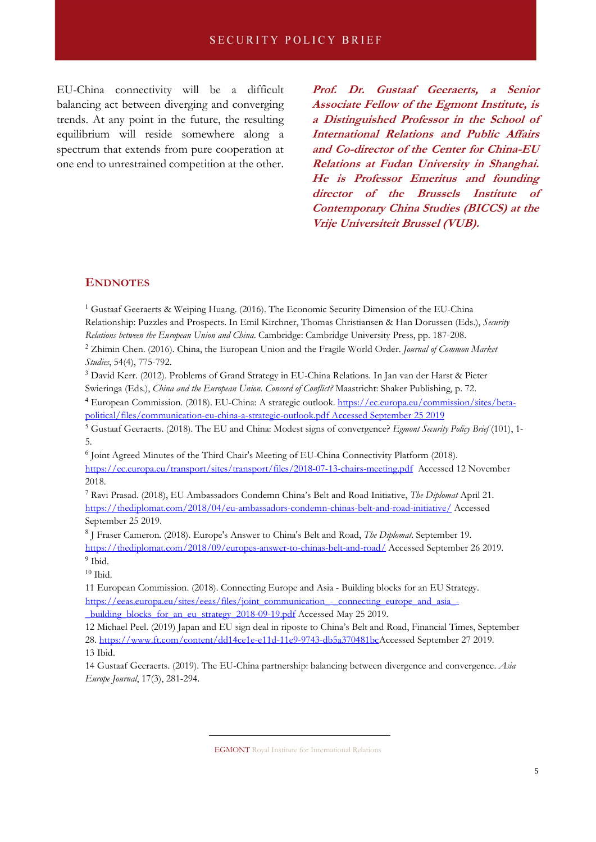EU-China connectivity will be a difficult balancing act between diverging and converging trends. At any point in the future, the resulting equilibrium will reside somewhere along a spectrum that extends from pure cooperation at one end to unrestrained competition at the other. Prof. Dr. Gustaaf Geeraerts, a Senior Associate Fellow of the Egmont Institute, is a Distinguished Professor in the School of International Relations and Public Affairs and Co-director of the Center for China-EU Relations at Fudan University in Shanghai. He is Professor Emeritus and founding director of the Brussels Institute of Contemporary China Studies (BICCS) at the Vrije Universiteit Brussel (VUB).

#### **ENDNOTES**

<sup>1</sup> Gustaaf Geeraerts & Weiping Huang. (2016). The Economic Security Dimension of the EU-China Relationship: Puzzles and Prospects. In Emil Kirchner, Thomas Christiansen & Han Dorussen (Eds.), Security Relations between the European Union and China. Cambridge: Cambridge University Press, pp. 187-208.

<sup>2</sup> Zhimin Chen. (2016). China, the European Union and the Fragile World Order. Journal of Common Market Studies, 54(4), 775-792.

<sup>3</sup> David Kerr. (2012). Problems of Grand Strategy in EU-China Relations. In Jan van der Harst & Pieter Swieringa (Eds.), China and the European Union. Concord of Conflict? Maastricht: Shaker Publishing, p. 72.

<sup>4</sup> European Commission. (2018). EU-China: A strategic outlook. https://ec.europa.eu/commission/sites/betapolitical/files/communication-eu-china-a-strategic-outlook.pdf Accessed September 25 2019

<sup>5</sup> Gustaaf Geeraerts. (2018). The EU and China: Modest signs of convergence? Egmont Security Policy Brief (101), 1-5.

6 Joint Agreed Minutes of the Third Chair's Meeting of EU-China Connectivity Platform (2018). https://ec.europa.eu/transport/sites/transport/files/2018-07-13-chairs-meeting.pdf Accessed 12 November 2018.

<sup>7</sup> Ravi Prasad. (2018), EU Ambassadors Condemn China's Belt and Road Initiative, The Diplomat April 21. https://thediplomat.com/2018/04/eu-ambassadors-condemn-chinas-belt-and-road-initiative/ Accessed September 25 2019.

<sup>8</sup> J Fraser Cameron. (2018). Europe's Answer to China's Belt and Road, The Diplomat. September 19. https://thediplomat.com/2018/09/europes-answer-to-chinas-belt-and-road/ Accessed September 26 2019. <sup>9</sup> Ibid.

 $10$  Ibid.

11 European Commission. (2018). Connecting Europe and Asia - Building blocks for an EU Strategy. https://eeas.europa.eu/sites/eeas/files/joint\_communication\_-\_connecting\_europe\_and\_asia\_-

\_building\_blocks\_for\_an\_eu\_strategy\_2018-09-19.pdf Accessed May 25 2019.

12 Michael Peel. (2019) Japan and EU sign deal in riposte to China's Belt and Road, Financial Times, September 28. https://www.ft.com/content/dd14ce1e-e11d-11e9-9743-db5a370481bcAccessed September 27 2019. 13 Ibid.

14 Gustaaf Geeraerts. (2019). The EU-China partnership: balancing between divergence and convergence. Asia Europe Journal, 17(3), 281-294.

EGMONT Royal Institute for International Relations